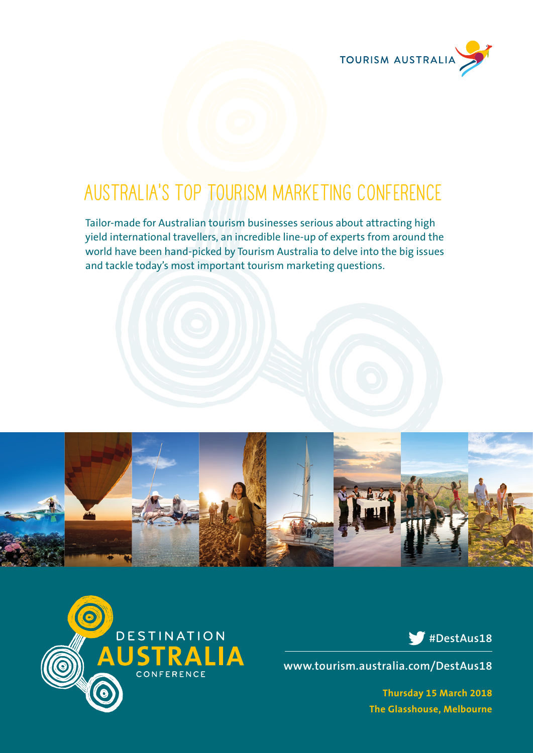

## **Australia's top tourism marketing conference**

Tailor-made for Australian tourism businesses serious about attracting high yield international travellers, an incredible line-up of experts from around the world have been hand-picked by Tourism Australia to delve into the big issues and tackle today's most important tourism marketing questions.





### **#DestAus18**

**www.tourism.australia.com/DestAus18**

**Thursday 15 March 2018 The Glasshouse, Melbourne**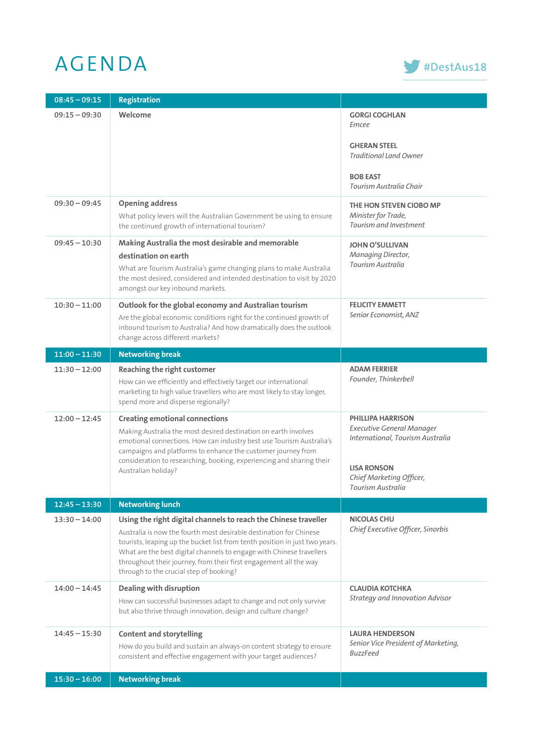# AGENDA **#DestAus18**



| $08:45 - 09:15$ | <b>Registration</b>                                                                                                                                                                                                                                                                                                                                                                                          |                                                                                                                                                                         |
|-----------------|--------------------------------------------------------------------------------------------------------------------------------------------------------------------------------------------------------------------------------------------------------------------------------------------------------------------------------------------------------------------------------------------------------------|-------------------------------------------------------------------------------------------------------------------------------------------------------------------------|
| $09:15 - 09:30$ | Welcome                                                                                                                                                                                                                                                                                                                                                                                                      | <b>GORGI COGHLAN</b><br>Emcee                                                                                                                                           |
|                 |                                                                                                                                                                                                                                                                                                                                                                                                              | <b>GHERAN STEEL</b><br><b>Traditional Land Owner</b>                                                                                                                    |
|                 |                                                                                                                                                                                                                                                                                                                                                                                                              | <b>BOB EAST</b><br>Tourism Australia Chair                                                                                                                              |
| $09:30 - 09:45$ | <b>Opening address</b><br>What policy levers will the Australian Government be using to ensure<br>the continued growth of international tourism?                                                                                                                                                                                                                                                             | THE HON STEVEN CIOBO MP<br>Minister for Trade,<br>Tourism and Investment                                                                                                |
| $09:45 - 10:30$ | Making Australia the most desirable and memorable<br>destination on earth<br>What are Tourism Australia's game changing plans to make Australia<br>the most desired, considered and intended destination to visit by 2020<br>amongst our key inbound markets.                                                                                                                                                | <b>JOHN O'SULLIVAN</b><br>Managing Director,<br>Tourism Australia                                                                                                       |
| $10:30 - 11:00$ | Outlook for the global economy and Australian tourism<br>Are the global economic conditions right for the continued growth of<br>inbound tourism to Australia? And how dramatically does the outlook<br>change across different markets?                                                                                                                                                                     | <b>FELICITY EMMETT</b><br>Senior Economist, ANZ                                                                                                                         |
| $11:00 - 11:30$ | <b>Networking break</b>                                                                                                                                                                                                                                                                                                                                                                                      |                                                                                                                                                                         |
| $11:30 - 12:00$ | Reaching the right customer<br>How can we efficiently and effectively target our international<br>marketing to high value travellers who are most likely to stay longer,<br>spend more and disperse regionally?                                                                                                                                                                                              | <b>ADAM FERRIER</b><br>Founder, Thinkerbell                                                                                                                             |
| $12:00 - 12:45$ | <b>Creating emotional connections</b><br>Making Australia the most desired destination on earth involves<br>emotional connections. How can industry best use Tourism Australia's<br>campaigns and platforms to enhance the customer journey from<br>consideration to researching, booking, experiencing and sharing their<br>Australian holiday?                                                             | <b>PHILLIPA HARRISON</b><br><b>Executive General Manager</b><br>International, Tourism Australia<br><b>LISA RONSON</b><br>Chief Marketing Officer,<br>Tourism Australia |
| $12:45 - 13:30$ | <b>Networking lunch</b>                                                                                                                                                                                                                                                                                                                                                                                      |                                                                                                                                                                         |
| $13:30 - 14:00$ | Using the right digital channels to reach the Chinese traveller<br>Australia is now the fourth most desirable destination for Chinese<br>tourists, leaping up the bucket list from tenth position in just two years.<br>What are the best digital channels to engage with Chinese travellers<br>throughout their journey, from their first engagement all the way<br>through to the crucial step of booking? | <b>NICOLAS CHU</b><br>Chief Executive Officer, Sinorbis                                                                                                                 |
| $14:00 - 14:45$ | Dealing with disruption<br>How can successful businesses adapt to change and not only survive<br>but also thrive through innovation, design and culture change?                                                                                                                                                                                                                                              | <b>CLAUDIA KOTCHKA</b><br><b>Strategy and Innovation Advisor</b>                                                                                                        |
| $14:45 - 15:30$ | <b>Content and storytelling</b><br>How do you build and sustain an always-on content strategy to ensure<br>consistent and effective engagement with your target audiences?                                                                                                                                                                                                                                   | <b>LAURA HENDERSON</b><br>Senior Vice President of Marketing,<br><b>BuzzFeed</b>                                                                                        |
| $15:30 - 16:00$ | <b>Networking break</b>                                                                                                                                                                                                                                                                                                                                                                                      |                                                                                                                                                                         |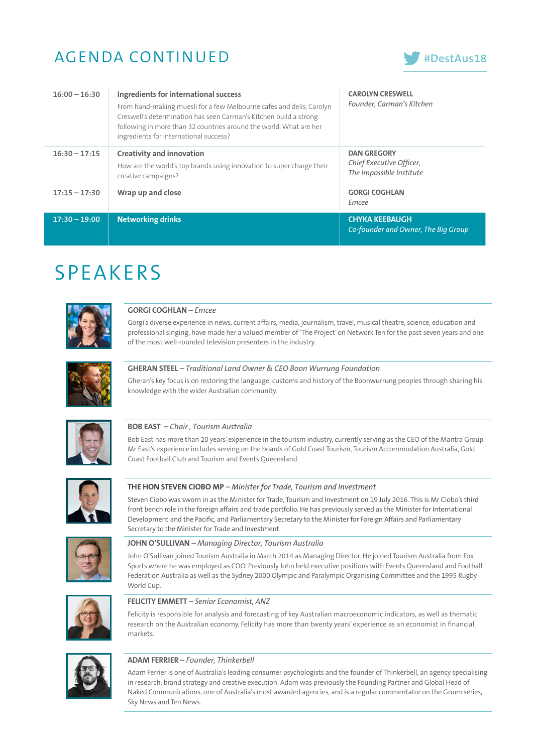### AGENDA CONTINUED



| $16:00 - 16:30$ | Ingredients for international success<br>From hand-making muesli for a few Melbourne cafes and delis, Carolyn<br>Creswell's determination has seen Carman's Kitchen build a strong<br>following in more than 32 countries around the world. What are her<br>ingredients for international success? | <b>CAROLYN CRESWELL</b><br>Founder, Carman's Kitchen                       |
|-----------------|----------------------------------------------------------------------------------------------------------------------------------------------------------------------------------------------------------------------------------------------------------------------------------------------------|----------------------------------------------------------------------------|
| $16:30 - 17:15$ | <b>Creativity and innovation</b><br>How are the world's top brands using innovation to super charge their<br>creative campaigns?                                                                                                                                                                   | <b>DAN GREGORY</b><br>Chief Executive Officer,<br>The Impossible Institute |
| $17:15 - 17:30$ | Wrap up and close                                                                                                                                                                                                                                                                                  | <b>GORGI COGHLAN</b><br>Emcee                                              |
| $17:30 - 19:00$ | <b>Networking drinks</b>                                                                                                                                                                                                                                                                           | <b>CHYKA KEEBAUGH</b><br>Co-founder and Owner, The Big Group               |

## SPEAKERS



#### **GORGI COGHLAN** *– Emcee*

Gorgi's diverse experience in news, current affairs, media, journalism, travel, musical theatre, science, education and professional singing, have made her a valued member of 'The Project' on Network Ten for the past seven years and one of the most well-rounded television presenters in the industry.



#### **GHERAN STEEL** *– Traditional Land Owner & CEO Boon Wurrung Foundation*

Gheran's key focus is on restoring the language, customs and history of the Boonwurrung peoples through sharing his knowledge with the wider Australian community.



#### **BOB EAST –** *Chair , Tourism Australia*

Bob East has more than 20 years' experience in the tourism industry, currently serving as the CEO of the Mantra Group. Mr East's experience includes serving on the boards of Gold Coast Tourism, Tourism Accommodation Australia, Gold Coast Football Club and Tourism and Events Queensland.



#### **THE HON STEVEN CIOBO MP** *– Minister for Trade, Tourism and Investment*

Steven Ciobo was sworn in as the Minister for Trade, Tourism and Investment on 19 July 2016. This is Mr Ciobo's third front bench role in the foreign affairs and trade portfolio. He has previously served as the Minister for International Development and the Pacific, and Parliamentary Secretary to the Minister for Foreign Affairs and Parliamentary Secretary to the Minister for Trade and Investment.



#### **JOHN O'SULLIVAN** *– Managing Director, Tourism Australia*

John O'Sullivan joined Tourism Australia in March 2014 as Managing Director. He joined Tourism Australia from Fox Sports where he was employed as COO. Previously John held executive positions with Events Queensland and Football Federation Australia as well as the Sydney 2000 Olympic and Paralympic Organising Committee and the 1995 Rugby World Cup.



#### **FELICITY EMMETT** *– Senior Economist, ANZ*

Felicity is responsible for analysis and forecasting of key Australian macroeconomic indicators, as well as thematic research on the Australian economy. Felicity has more than twenty years' experience as an economist in financial markets.



#### **ADAM FERRIER** *– Founder, Thinkerbell*

Adam Ferrier is one of Australia's leading consumer psychologists and the founder of Thinkerbell, an agency specialising in research, brand strategy and creative execution. Adam was previously the Founding Partner and Global Head of Naked Communications, one of Australia's most awarded agencies, and is a regular commentator on the Gruen series, Sky News and Ten News.